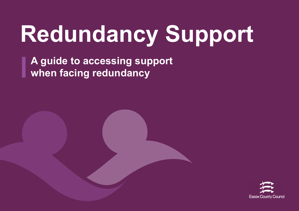## **Redundancy Support**

**A guide to accessing support when facing redundancy**

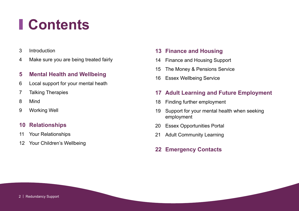### **Contents**

- [Introduction](#page-2-0)
- [Make sure you are being treated fairly](#page-3-0)

#### **[Mental Health and Wellbeing](#page-4-0)**

- [Local support for your mental heath](#page-5-0)
- [Talking Therapies](#page-6-0)
- [Mind](#page-7-0)
- [Working Well](#page-8-0)

#### **[Relationships](#page-9-0)**

- [Your Relationships](#page-10-0)
- [Your Children's Wellbeing](#page-11-0)

#### **[Finance and Housing](#page-12-0)**

- [Finance and Housing Support](#page-13-0)
- [The Money & Pensions Service](#page-14-0)
- [Essex Wellbeing Service](#page-15-0)

#### **[Adult Learning and Future Employment](#page-16-0)**

- [Finding further employment](#page-17-0)
- [Support for your mental health when seeking](#page-18-0)  [employment](#page-18-0)
- [Essex Opportunities Portal](#page-19-0)
- [Adult Community Learning](#page-20-0)
- **[Emergency Contacts](#page-21-0)**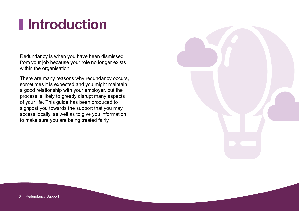### <span id="page-2-0"></span>**Introduction**

Redundancy is when you have been dismissed from your job because your role no longer exists within the organisation.

There are many reasons why redundancy occurs, sometimes it is expected and you might maintain a good relationship with your employer, but the process is likely to greatly disrupt many aspects of your life. This guide has been produced to signpost you towards the support that you may access locally, as well as to give you information to make sure you are being treated fairly.

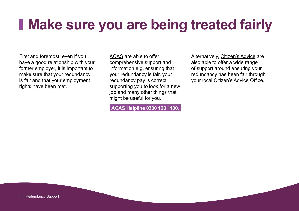#### <span id="page-3-0"></span>**Make sure you are being treated fairly**

First and foremost, even if you have a good relationship with your former employer, it is important to make sure that your redundancy is fair and that your employment rights have been met.

[ACAS](https://www.acas.org.uk/your-rights-during-redundancy) are able to offer comprehensive support and information e.g. ensuring that your redundancy is fair, your redundancy pay is correct, supporting you to look for a new job and many other things that might be useful for you.

**ACAS Helpline 0300 123 1100.**

Alternatively, [Citizen's Advice](https://www.citizensadvice.org.uk/work/leaving-a-job/redundancy/check-if-your-redundancy-is-fair/) are also able to offer a wide range of support around ensuring your redundancy has been fair through your local Citizen's Advice Office.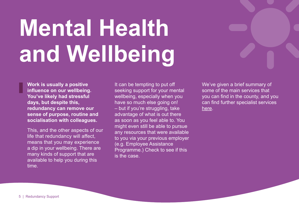## <span id="page-4-0"></span>**Mental Health and Wellbeing**

**Work is usually a positive influence on our wellbeing. You've likely had stressful days, but despite this, redundancy can remove our sense of purpose, routine and socialisation with colleagues.** 

This, and the other aspects of our life that redundancy will affect, means that you may experience a dip in your wellbeing. There are many kinds of support that are available to help you during this time.

It can be tempting to put off seeking support for your mental wellbeing, especially when you have so much else going on! – but if you're struggling, take advantage of what is out there as soon as you feel able to. You might even still be able to pursue any resources that were available to you via your previous employer (e.g. Employee Assistance Programme.) Check to see if this is the case.

We've given a brief summary of some of the main services that you can find in the county, and you can find further specialist services [here.](https://eput.nhs.uk/our-services/essex/essex-mental-health-services/)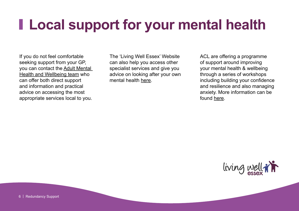#### <span id="page-5-0"></span>**Local support for your mental health**

If you do not feel comfortable seeking support from your GP, you can contact the [Adult Mental](https://www.livingwellessex.org/health-and-well-being/mental-health/adult-mental-health-and-wellbeing-team-at-ecc/)  [Health and Wellbeing team](https://www.livingwellessex.org/health-and-well-being/mental-health/adult-mental-health-and-wellbeing-team-at-ecc/) who can offer both direct support and information and practical advice on accessing the most appropriate services local to you.

The 'Living Well Essex' Website can also help you access other specialist services and give you advice on looking after your own mental health [here.](https://www.livingwellessex.org/health-and-well-being/mental-health/looking-after-your-mental-health/)

ACL are offering a programme of support around improving your mental health & wellbeing through a series of workshops including building your confidence and resilience and also managing anxiety. More information can be found [here](https://aclessex.com/mental-wellbeing/).

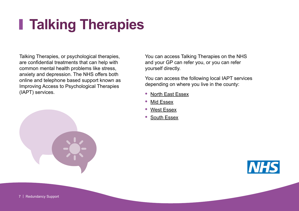### <span id="page-6-0"></span>**Talking Therapies**

Talking Therapies, or psychological therapies, are confidential treatments that can help with common mental health problems like stress, anxiety and depression. The NHS offers both online and telephone based support known as Improving Access to Psychological Therapies (IAPT) services.



You can access Talking Therapies on the NHS and your GP can refer you, or you can refer yourself directly.

You can access the following local IAPT services depending on where you live in the county:

- **•** [North East Essex](https://www.therapyforyou.co.uk/)
- **•** [Mid Essex](https://www.hpft-iapt.nhs.uk/service/mid-essex)
- **•** [West Essex](https://www.hpft-iapt.nhs.uk/service/west-essex)
- **•** [South Essex](https://www.therapyforyou.co.uk/contact)

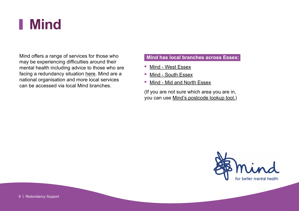#### <span id="page-7-0"></span>**Mind**

Mind offers a range of services for those who may be experiencing difficulties around their mental health including advice to those who are facing a redundancy situation [here.](https://www.mind.org.uk/workplace/coronavirus-and-work/coping-with-redundancy/) Mind are a national organisation and more local services can be accessed via local Mind branches.

#### **Mind has local branches across Essex:**

- **•** [Mind West Essex](https://www.mindinwestessex.org.uk/)
- **•** [Mind South Essex](https://www.seandcessexmind.org.uk/)
- **•** [Mind Mid and North Essex](https://mnessexmind.org/)

(If you are not sure which area you are in, you can use [Mind's postcode lookup tool.](https://www.mind.org.uk/information-support/local-minds/))

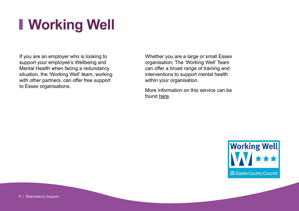## <span id="page-8-0"></span>**Working Well**

If you are an employer who is looking to support your employee's Wellbeing and Mental Health when facing a redundancy situation, the 'Working Well' team, working with other partners, can offer free support to Essex organisations.

Whether you are a large or small Essex organisation, The 'Working Well' Team can offer a broad range of training and interventions to support mental health within your organisation.

More information on this service can be found [here](https://www.essexwellbeingservice.co.uk/workplace/about-working-well).

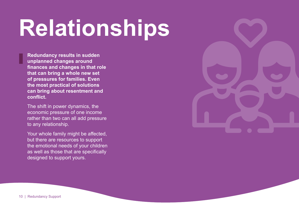## <span id="page-9-0"></span>**Relationships**

**Redundancy results in sudden unplanned changes around finances and changes in that role that can bring a whole new set of pressures for families. Even the most practical of solutions can bring about resentment and conflict.**

The shift in power dynamics, the economic pressure of one income rather than two can all add pressure to any relationship.

Your whole family might be affected, but there are resources to support the emotional needs of your children as well as those that are specifically designed to support yours.

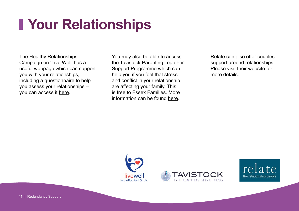### <span id="page-10-0"></span>**Your Relationships**

The Healthy Relationships Campaign on 'Live Well' has a useful webpage which can support you with your relationships, including a questionnaire to help you assess your relationships – you can access it [here.](https://www.livewellcampaign.co.uk/livewell-articles/healthy-relationships/)

You may also be able to access the Tavistock Parenting Together Support Programme which can help you if you feel that stress and conflict in your relationship are affecting your family. This is free to Essex Families. More information can be found [here](https://tavistockrelationships.org/p-together).

Relate can also offer couples support around relationships. Please visit their [website](https://www.relate.org.uk/) for more details.





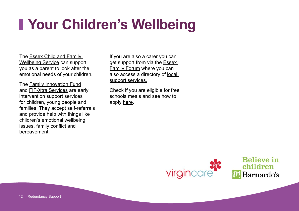### <span id="page-11-0"></span>**Your Children's Wellbeing**

The [Essex Child and Family](https://essexfamilywellbeing.co.uk/)  [Wellbeing Service](https://essexfamilywellbeing.co.uk/) can support you as a parent to look after the emotional needs of your children.

The [Family Innovation Fund](http://www.essexlocaloffer.org.uk/listing/family-innovation-fund-fif-early-help-services/) and [FIF-Xtra Services](https://www.essex.gov.uk/news/new-support-services-launched-for-children-and-families) are early intervention support services for children, young people and families. They accept self-referrals and provide help with things like children's emotional wellbeing issues, family conflict and bereavement.

If you are also a carer you can get support from via the [Essex](https://essexfamilyforum.org/)  [Family Forum](https://essexfamilyforum.org/) where you can also access a directory of [local](https://www.essexeffectivesupport.org.uk)  [support services.](https://www.essexeffectivesupport.org.uk)

Check if you are eligible for free schools meals and see how to apply [here](https://essex-self.achieveservice.com/service/Free_School_Meals_application?accept=yes&consentMessageIds%5b%5d=4).

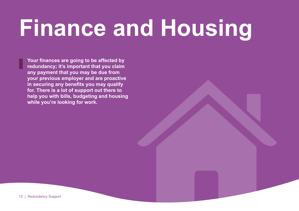## <span id="page-12-0"></span>**Finance and Housing**

**Your finances are going to be affected by redundancy; it's important that you claim any payment that you may be due from your previous employer and are proactive in securing any benefits you may qualify for. There is a lot of support out there to help you with bills, budgeting and housing while you're looking for work.**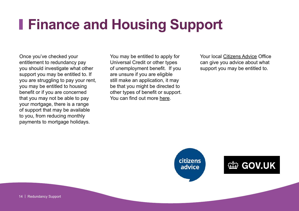#### <span id="page-13-0"></span>**Finance and Housing Support**

Once you've checked your entitlement to redundancy pay you should investigate what other support you may be entitled to. If you are struggling to pay your rent, you may be entitled to housing benefit or if you are concerned that you may not be able to pay your mortgage, there is a range of support that may be available to you, from reducing monthly payments to mortgage holidays.

You may be entitled to apply for Universal Credit or other types of unemployment benefit. If you are unsure if you are eligible still make an application, it may be that you might be directed to other types of benefit or support. You can find out more [here.](https://www.gov.uk/browse/benefits)

Your local [Citizens Advice](https://www.citizensadvice.org.uk/) Office can give you advice about what support you may be entitled to.



#### **勤 GOV.UK**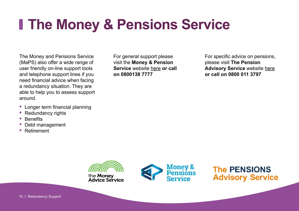#### <span id="page-14-0"></span>**The Money & Pensions Service**

The Money and Pensions Service (MaPS) also offer a wide range of user friendly on-line support tools and telephone support lines if you need financial advice when facing a redundancy situation. They are able to help you to assess support around.

- **•** Longer term financial planning
- **•** Redundancy rights
- **•** Benefits
- **•** Debt management
- **•** Retirement

For general support please visit the **Money & Pension Service** website [here](https://www.moneyadviceservice.org.uk/en) **or call on 0800138 7777**

For specific advice on pensions, please visit **The Pension Advisory Service** website [here](https://www.pensionsadvisoryservice.org.uk/) **or call on 0800 011 3797**



**The PENSIONS Advisory Service**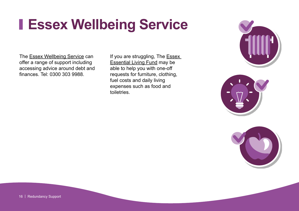#### <span id="page-15-0"></span>**Essex Wellbeing Service**

The **[Essex Wellbeing Service](https://www.essex.gov.uk/community-support) can** offer a range of support including accessing advice around debt and finances. Tel: 0300 303 9988.

If you are struggling, The **Essex** [Essential Living Fund](https://www.southend.gov.uk/extra-financial-help/essential-living-fund) may be able to help you with one-off requests for furniture, clothing, fuel costs and daily living expenses such as food and toiletries.





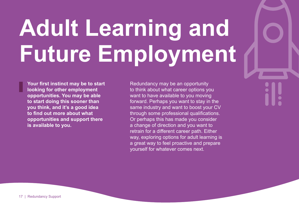## <span id="page-16-0"></span>**Adult Learning and Future Employment**

**Your first instinct may be to start looking for other employment opportunities. You may be able to start doing this sooner than you think, and it's a good idea to find out more about what opportunities and support there is available to you.**

Redundancy may be an opportunity to think about what career options you want to have available to you moving forward. Perhaps you want to stay in the same industry and want to boost your CV through some professional qualifications. Or perhaps this has made you consider a change of direction and you want to retrain for a different career path. Either way, exploring options for adult learning is a great way to feel proactive and prepare yourself for whatever comes next.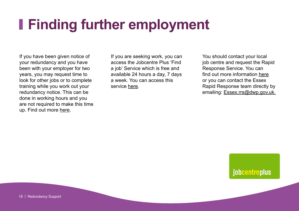#### <span id="page-17-0"></span>**Finding further employment**

If you have been given notice of your redundancy and you have been with your employer for two years, you may request time to look for other jobs or to complete training while you work out your redundancy notice. This can be done in working hours and you are not required to make this time up. Find out more [here](https://www.gov.uk/redundancy-your-rights).

If you are seeking work, you can access the Jobcentre Plus 'Find a job' Service which is free and available 24 hours a day, 7 days a week. You can access this service [here](https://www.gov.uk/find-a-job).

You should contact your local job centre and request the Rapid Response Service. You can find out more information [here](https://www.gov.uk/redundancy-your-rights/get-help-finding-a-new-job) or you can contact the Essex Rapid Response team directly by emailing: [Essex.rrs@dwp.gov.uk](mailto:Essex.rrs%40dwp.gov.uk%20?subject=).

jobcentreplus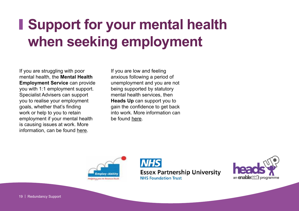### <span id="page-18-0"></span>**Support for your mental health when seeking employment**

If you are struggling with poor mental health, the **Mental Health Employment Service** can provide you with 1:1 employment support. Specialist Advisers can support you to realise your employment goals, whether that's finding work or help to you to retain employment if your mental health is causing issues at work. More information, can be found [here](https://eput.nhs.uk/our-services/essex/essex-mental-health-services/adults/employment-services/).

If you are low and feeling anxious following a period of unemployment and you are not being supported by statutory mental health services, then **Heads Up** can support you to gain the confidence to get back into work. More information can be found [here.](https://enableeast.org.uk/headsup/)



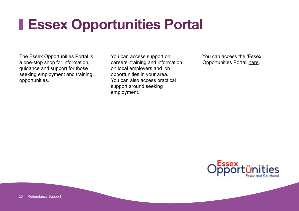#### <span id="page-19-0"></span>**Essex Opportunities Portal**

The Essex Opportunities Portal is a one-stop shop for information, guidance and support for those seeking employment and training opportunities.

You can access support on careers, training and information on local employers and job opportunities in your area. You can also access practical support around seeking employment.

You can access the 'Essex Opportunities Portal' [here](https://www.essexopportunities.co.uk).

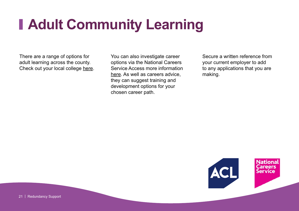### <span id="page-20-0"></span>**Adult Community Learning**

There are a range of options for adult learning across the county. Check out your local college [here.](https://aclessex.com/) You can also investigate career options via the National Careers Service Access more information [here](https://nationalcareers.service.gov.uk/). As well as careers advice, they can suggest training and development options for your chosen career path.

Secure a written reference from your current employer to add to any applications that you are making.